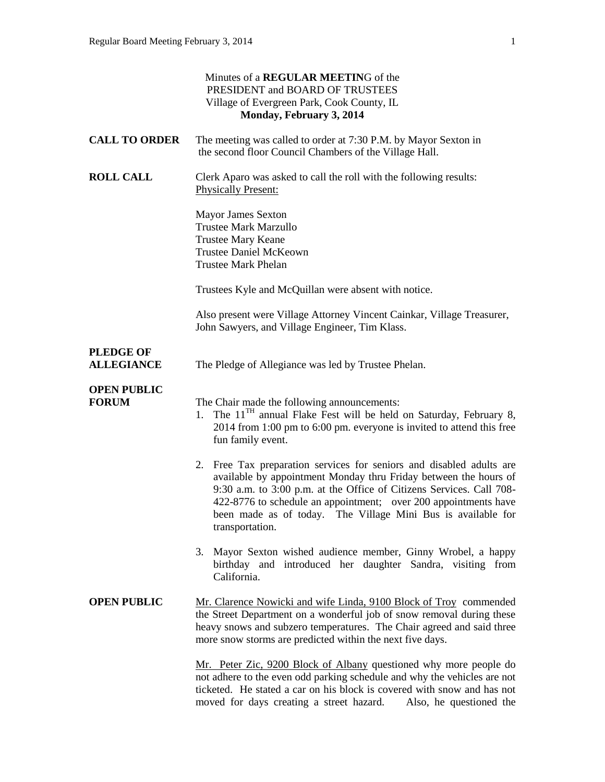|                                       | Minutes of a REGULAR MEETING of the<br>PRESIDENT and BOARD OF TRUSTEES<br>Village of Evergreen Park, Cook County, IL<br>Monday, February 3, 2014                                                                                                                                                                                                                       |
|---------------------------------------|------------------------------------------------------------------------------------------------------------------------------------------------------------------------------------------------------------------------------------------------------------------------------------------------------------------------------------------------------------------------|
| <b>CALL TO ORDER</b>                  | The meeting was called to order at 7:30 P.M. by Mayor Sexton in<br>the second floor Council Chambers of the Village Hall.                                                                                                                                                                                                                                              |
| <b>ROLL CALL</b>                      | Clerk Aparo was asked to call the roll with the following results:<br><b>Physically Present:</b>                                                                                                                                                                                                                                                                       |
|                                       | <b>Mayor James Sexton</b><br><b>Trustee Mark Marzullo</b><br><b>Trustee Mary Keane</b><br><b>Trustee Daniel McKeown</b><br><b>Trustee Mark Phelan</b>                                                                                                                                                                                                                  |
|                                       | Trustees Kyle and McQuillan were absent with notice.                                                                                                                                                                                                                                                                                                                   |
|                                       | Also present were Village Attorney Vincent Cainkar, Village Treasurer,<br>John Sawyers, and Village Engineer, Tim Klass.                                                                                                                                                                                                                                               |
| <b>PLEDGE OF</b><br><b>ALLEGIANCE</b> | The Pledge of Allegiance was led by Trustee Phelan.                                                                                                                                                                                                                                                                                                                    |
| <b>OPEN PUBLIC</b><br><b>FORUM</b>    | The Chair made the following announcements:<br>1. The $11TH$ annual Flake Fest will be held on Saturday, February 8,<br>2014 from 1:00 pm to 6:00 pm. everyone is invited to attend this free<br>fun family event.                                                                                                                                                     |
|                                       | 2. Free Tax preparation services for seniors and disabled adults are<br>available by appointment Monday thru Friday between the hours of<br>9:30 a.m. to 3:00 p.m. at the Office of Citizens Services. Call 708-<br>422-8776 to schedule an appointment; over 200 appointments have<br>been made as of today. The Village Mini Bus is available for<br>transportation. |
|                                       | 3. Mayor Sexton wished audience member, Ginny Wrobel, a happy<br>birthday and introduced her daughter Sandra, visiting from<br>California.                                                                                                                                                                                                                             |
| <b>OPEN PUBLIC</b>                    | Mr. Clarence Nowicki and wife Linda, 9100 Block of Troy commended<br>the Street Department on a wonderful job of snow removal during these<br>heavy snows and subzero temperatures. The Chair agreed and said three<br>more snow storms are predicted within the next five days.                                                                                       |
|                                       | Mr. Peter Zic, 9200 Block of Albany questioned why more people do<br>not adhere to the even odd parking schedule and why the vehicles are not<br>ticketed. He stated a car on his block is covered with snow and has not<br>moved for days creating a street hazard. Also, he questioned the                                                                           |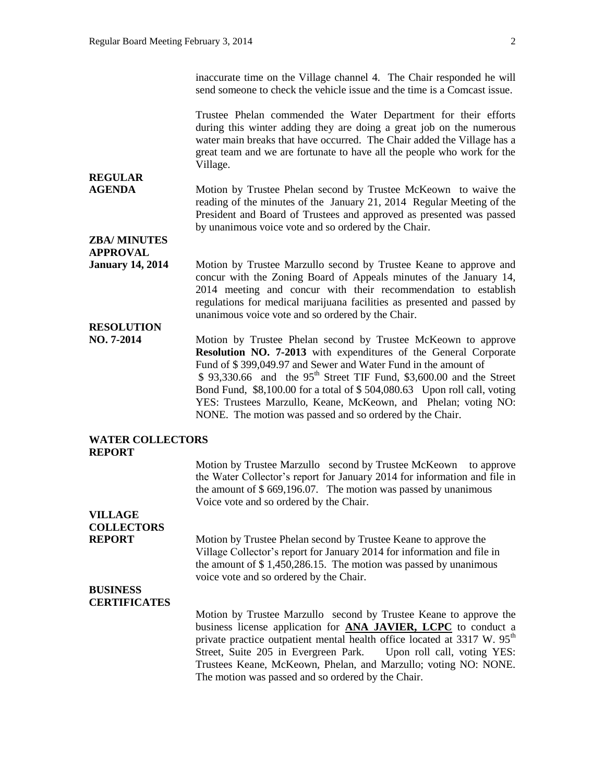inaccurate time on the Village channel 4. The Chair responded he will send someone to check the vehicle issue and the time is a Comcast issue.

Trustee Phelan commended the Water Department for their efforts during this winter adding they are doing a great job on the numerous water main breaks that have occurred. The Chair added the Village has a great team and we are fortunate to have all the people who work for the Village.

#### **AGENDA** Motion by Trustee Phelan second by Trustee McKeown to waive the reading of the minutes of the January 21, 2014 Regular Meeting of the President and Board of Trustees and approved as presented was passed by unanimous voice vote and so ordered by the Chair.

**ZBA/ MINUTES APPROVAL** 

**REGULAR** 

**January 14, 2014** Motion by Trustee Marzullo second by Trustee Keane to approve and concur with the Zoning Board of Appeals minutes of the January 14, 2014 meeting and concur with their recommendation to establish regulations for medical marijuana facilities as presented and passed by unanimous voice vote and so ordered by the Chair.

## **RESOLUTION**

**NO. 7-2014** Motion by Trustee Phelan second by Trustee McKeown to approve **Resolution NO. 7-2013** with expenditures of the General Corporate Fund of \$ 399,049.97 and Sewer and Water Fund in the amount of  $$93,330.66$  and the 95<sup>th</sup> Street TIF Fund, \$3,600.00 and the Street Bond Fund, \$8,100.00 for a total of \$ 504,080.63 Upon roll call, voting YES: Trustees Marzullo, Keane, McKeown, and Phelan; voting NO: NONE. The motion was passed and so ordered by the Chair.

#### **WATER COLLECTORS REPORT**

Motion by Trustee Marzullo second by Trustee McKeown to approve the Water Collector's report for January 2014 for information and file in the amount of \$ 669,196.07. The motion was passed by unanimous Voice vote and so ordered by the Chair.

## **VILLAGE COLLECTORS**

**REPORT** Motion by Trustee Phelan second by Trustee Keane to approve the Village Collector's report for January 2014 for information and file in the amount of \$ 1,450,286.15. The motion was passed by unanimous voice vote and so ordered by the Chair.

#### **BUSINESS CERTIFICATES**

Motion by Trustee Marzullo second by Trustee Keane to approve the business license application for **ANA JAVIER, LCPC** to conduct a private practice outpatient mental health office located at  $3317 \text{ W}$ .  $95^{\text{th}}$ Street, Suite 205 in Evergreen Park. Upon roll call, voting YES: Trustees Keane, McKeown, Phelan, and Marzullo; voting NO: NONE. The motion was passed and so ordered by the Chair.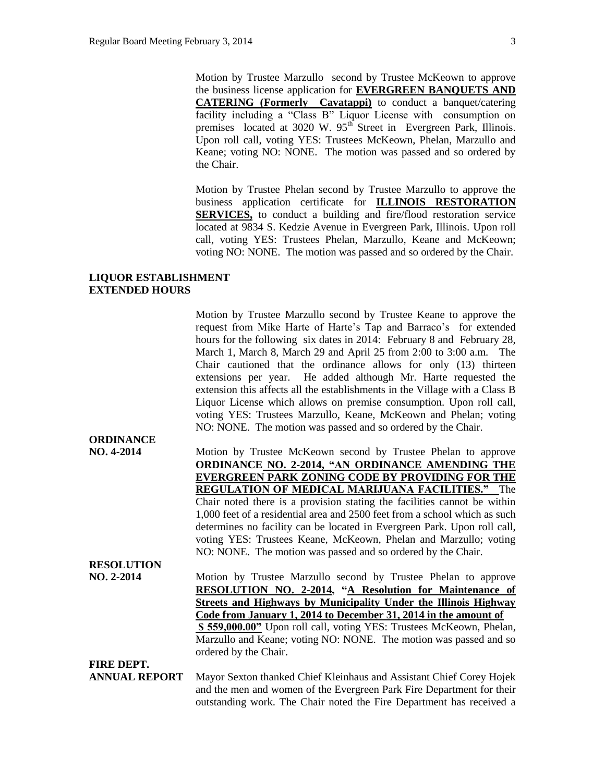Motion by Trustee Marzullo second by Trustee McKeown to approve the business license application for **EVERGREEN BANQUETS AND CATERING (Formerly Cavatappi)** to conduct a banquet/catering facility including a "Class B" Liquor License with consumption on premises located at 3020 W. 95<sup>th</sup> Street in Evergreen Park, Illinois. Upon roll call, voting YES: Trustees McKeown, Phelan, Marzullo and Keane; voting NO: NONE. The motion was passed and so ordered by the Chair.

Motion by Trustee Phelan second by Trustee Marzullo to approve the business application certificate for **ILLINOIS RESTORATION SERVICES,** to conduct a building and fire/flood restoration service located at 9834 S. Kedzie Avenue in Evergreen Park, Illinois. Upon roll call, voting YES: Trustees Phelan, Marzullo, Keane and McKeown; voting NO: NONE. The motion was passed and so ordered by the Chair.

#### **LIQUOR ESTABLISHMENT EXTENDED HOURS**

|                                | Motion by Trustee Marzullo second by Trustee Keane to approve the<br>request from Mike Harte of Harte's Tap and Barraco's for extended<br>hours for the following six dates in 2014: February 8 and February 28,<br>March 1, March 8, March 29 and April 25 from 2:00 to 3:00 a.m. The<br>Chair cautioned that the ordinance allows for only (13) thirteen<br>extensions per year. He added although Mr. Harte requested the<br>extension this affects all the establishments in the Village with a Class B<br>Liquor License which allows on premise consumption. Upon roll call,<br>voting YES: Trustees Marzullo, Keane, McKeown and Phelan; voting |
|--------------------------------|--------------------------------------------------------------------------------------------------------------------------------------------------------------------------------------------------------------------------------------------------------------------------------------------------------------------------------------------------------------------------------------------------------------------------------------------------------------------------------------------------------------------------------------------------------------------------------------------------------------------------------------------------------|
|                                | NO: NONE. The motion was passed and so ordered by the Chair.                                                                                                                                                                                                                                                                                                                                                                                                                                                                                                                                                                                           |
| <b>ORDINANCE</b><br>NO. 4-2014 |                                                                                                                                                                                                                                                                                                                                                                                                                                                                                                                                                                                                                                                        |
|                                | Motion by Trustee McKeown second by Trustee Phelan to approve<br>ORDINANCE NO. 2-2014, "AN ORDINANCE AMENDING THE                                                                                                                                                                                                                                                                                                                                                                                                                                                                                                                                      |
|                                | <b>EVERGREEN PARK ZONING CODE BY PROVIDING FOR THE</b>                                                                                                                                                                                                                                                                                                                                                                                                                                                                                                                                                                                                 |
|                                | <b>REGULATION OF MEDICAL MARIJUANA FACILITIES."</b> The                                                                                                                                                                                                                                                                                                                                                                                                                                                                                                                                                                                                |
|                                | Chair noted there is a provision stating the facilities cannot be within                                                                                                                                                                                                                                                                                                                                                                                                                                                                                                                                                                               |
|                                | 1,000 feet of a residential area and 2500 feet from a school which as such                                                                                                                                                                                                                                                                                                                                                                                                                                                                                                                                                                             |
|                                | determines no facility can be located in Evergreen Park. Upon roll call,                                                                                                                                                                                                                                                                                                                                                                                                                                                                                                                                                                               |
|                                | voting YES: Trustees Keane, McKeown, Phelan and Marzullo; voting                                                                                                                                                                                                                                                                                                                                                                                                                                                                                                                                                                                       |
|                                | NO: NONE. The motion was passed and so ordered by the Chair.                                                                                                                                                                                                                                                                                                                                                                                                                                                                                                                                                                                           |
| <b>RESOLUTION</b>              |                                                                                                                                                                                                                                                                                                                                                                                                                                                                                                                                                                                                                                                        |
| NO. 2-2014                     | Motion by Trustee Marzullo second by Trustee Phelan to approve                                                                                                                                                                                                                                                                                                                                                                                                                                                                                                                                                                                         |
|                                | RESOLUTION NO. 2-2014, "A Resolution for Maintenance of                                                                                                                                                                                                                                                                                                                                                                                                                                                                                                                                                                                                |
|                                | <b>Streets and Highways by Municipality Under the Illinois Highway</b>                                                                                                                                                                                                                                                                                                                                                                                                                                                                                                                                                                                 |
|                                | Code from January 1, 2014 to December 31, 2014 in the amount of                                                                                                                                                                                                                                                                                                                                                                                                                                                                                                                                                                                        |
|                                | \$559,000.00" Upon roll call, voting YES: Trustees McKeown, Phelan,                                                                                                                                                                                                                                                                                                                                                                                                                                                                                                                                                                                    |
|                                | Marzullo and Keane; voting NO: NONE. The motion was passed and so                                                                                                                                                                                                                                                                                                                                                                                                                                                                                                                                                                                      |
|                                | ordered by the Chair.                                                                                                                                                                                                                                                                                                                                                                                                                                                                                                                                                                                                                                  |
| FIRE DEPT.                     |                                                                                                                                                                                                                                                                                                                                                                                                                                                                                                                                                                                                                                                        |
| <b>ANNUAL REPORT</b>           | Mayor Sexton thanked Chief Kleinhaus and Assistant Chief Corey Hojek                                                                                                                                                                                                                                                                                                                                                                                                                                                                                                                                                                                   |
|                                | and the men and women of the Evergreen Park Fire Department for their                                                                                                                                                                                                                                                                                                                                                                                                                                                                                                                                                                                  |
|                                | outstanding work. The Chair noted the Fire Department has received a                                                                                                                                                                                                                                                                                                                                                                                                                                                                                                                                                                                   |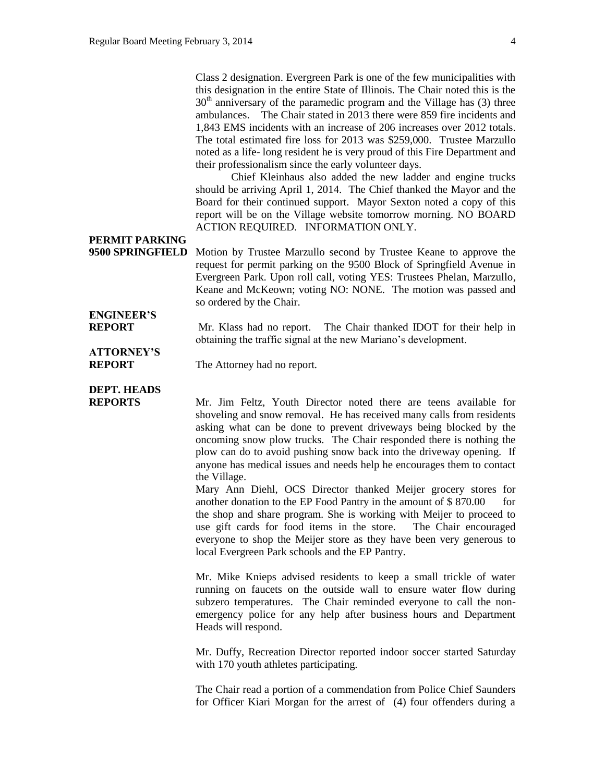Class 2 designation. Evergreen Park is one of the few municipalities with this designation in the entire State of Illinois. The Chair noted this is the  $30<sup>th</sup>$  anniversary of the paramedic program and the Village has (3) three ambulances. The Chair stated in 2013 there were 859 fire incidents and 1,843 EMS incidents with an increase of 206 increases over 2012 totals. The total estimated fire loss for 2013 was \$259,000. Trustee Marzullo noted as a life- long resident he is very proud of this Fire Department and their professionalism since the early volunteer days.

Chief Kleinhaus also added the new ladder and engine trucks should be arriving April 1, 2014. The Chief thanked the Mayor and the Board for their continued support. Mayor Sexton noted a copy of this report will be on the Village website tomorrow morning. NO BOARD ACTION REQUIRED. INFORMATION ONLY.

### **PERMIT PARKING**

**9500 SPRINGFIELD** Motion by Trustee Marzullo second by Trustee Keane to approve the request for permit parking on the 9500 Block of Springfield Avenue in Evergreen Park. Upon roll call, voting YES: Trustees Phelan, Marzullo, Keane and McKeown; voting NO: NONE. The motion was passed and so ordered by the Chair.

# **ENGINEER'S**

**REPORT** Mr. Klass had no report. The Chair thanked IDOT for their help in obtaining the traffic signal at the new Mariano's development.

## **ATTORNEY'S**

**REPORT** The Attorney had no report.

**DEPT. HEADS**

**REPORTS** Mr. Jim Feltz, Youth Director noted there are teens available for shoveling and snow removal. He has received many calls from residents asking what can be done to prevent driveways being blocked by the oncoming snow plow trucks. The Chair responded there is nothing the plow can do to avoid pushing snow back into the driveway opening. If anyone has medical issues and needs help he encourages them to contact the Village.

> Mary Ann Diehl, OCS Director thanked Meijer grocery stores for another donation to the EP Food Pantry in the amount of  $$870.00$  for the shop and share program. She is working with Meijer to proceed to use gift cards for food items in the store. The Chair encouraged everyone to shop the Meijer store as they have been very generous to local Evergreen Park schools and the EP Pantry.

> Mr. Mike Knieps advised residents to keep a small trickle of water running on faucets on the outside wall to ensure water flow during subzero temperatures. The Chair reminded everyone to call the nonemergency police for any help after business hours and Department Heads will respond.

> Mr. Duffy, Recreation Director reported indoor soccer started Saturday with 170 youth athletes participating.

> The Chair read a portion of a commendation from Police Chief Saunders for Officer Kiari Morgan for the arrest of (4) four offenders during a